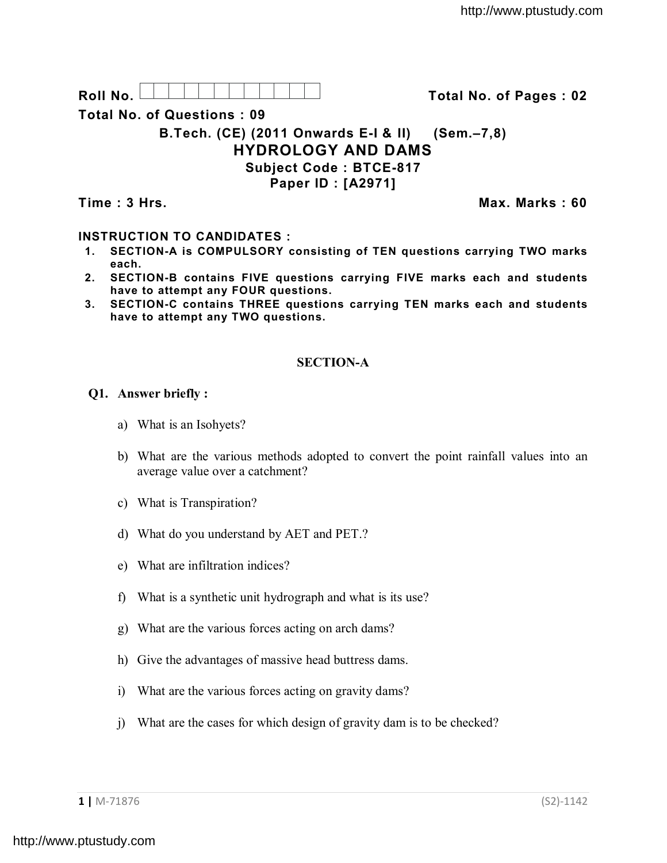Roll No. <u>And I And I Alexander Hermitide Colle</u> College Total No. of Pages : 02

**Total No. of Questions : 09**

**B.Tech. (CE) (2011 Onwards E-I & II) (Sem.–7,8) HYDROLOGY AND DAMS Subject Code : BTCE-817 Paper ID : [A2971]**

**Time : 3 Hrs. Max. Marks : 60**

# **INSTRUCTION TO CANDIDATES :**

- **1. SECTION-A is COMPULSORY consisting of TEN questions carrying TWO marks each.**
- **2. SECTION-B contains FIVE questions carrying FIVE marks each and students have to attempt any FOUR questions.**
- **3. SECTION-C contains THREE questions carrying TEN marks each and students have to attempt any TWO questions.**

# **SECTION-A**

## **Q1. Answer briefly :**

- a) What is an Isohyets?
- b) What are the various methods adopted to convert the point rainfall values into an average value over a catchment?
- c) What is Transpiration?
- d) What do you understand by AET and PET.?
- e) What are infiltration indices?
- f) What is a synthetic unit hydrograph and what is its use?
- g) What are the various forces acting on arch dams?
- h) Give the advantages of massive head buttress dams.
- i) What are the various forces acting on gravity dams?
- j) What are the cases for which design of gravity dam is to be checked?